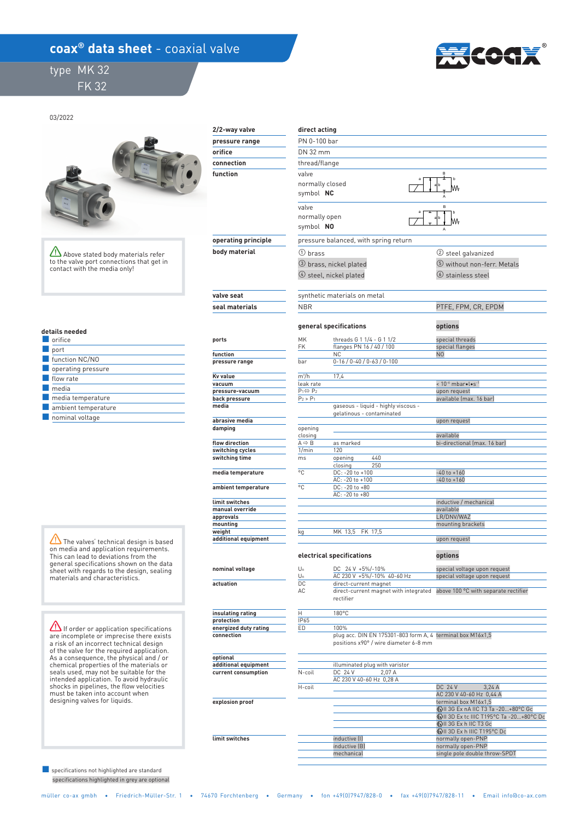## coax<sup>®</sup> data sheet - coaxial valve

 type MK 32 FK 32



## 03/2022

Above stated body materials refer to the valve port connections that get in contact with the media only!

| details needed |
|----------------|
|                |

| orifice                  |
|--------------------------|
| port                     |
| function NC/NO           |
| operating pressure       |
| flow rate                |
| media                    |
| $\Box$ media temperature |
| ambient temperature      |
| nominal voltage          |

 $\sqrt{N}$  The valves' technical design is based on media and application requirements. This can lead to deviations from the general specifications shown on the data sheet with regards to the design, sealing materials and characteristics.

**If order or application specifications** are incomplete or imprecise there exists a risk of an incorrect technical design of the valve for the required application. As a consequence, the physical and / or chemical properties of the materials or seals used, may not be suitable for the intended application. To avoid hydraulic shocks in pipelines, the flow velocities must be taken into account when designing valves for liquids.

 specifications highlighted in grey are optional ■ specifications not highlighted are standard

| 2/2-way valve             | direct acting                          |                                                                  |                                           |  |  |  |  |
|---------------------------|----------------------------------------|------------------------------------------------------------------|-------------------------------------------|--|--|--|--|
| pressure range            | PN 0-100 bar                           |                                                                  |                                           |  |  |  |  |
| orifice                   |                                        | DN 32 mm                                                         |                                           |  |  |  |  |
| connection                |                                        | thread/flange                                                    |                                           |  |  |  |  |
| function                  | valve<br>normally closed<br>symbol NC  |                                                                  |                                           |  |  |  |  |
|                           | valve<br>normally open<br>symbol NO    |                                                                  |                                           |  |  |  |  |
| operating principle       |                                        | pressure balanced, with spring return                            |                                           |  |  |  |  |
| body material             | $(1)$ brass                            |                                                                  | (2) steel galvanized                      |  |  |  |  |
|                           |                                        | 3 brass, nickel plated                                           | 5 without non-ferr. Metals                |  |  |  |  |
|                           |                                        | $(4)$ steel, nickel plated                                       | $\circledcirc$ stainless steel            |  |  |  |  |
| valve seat                |                                        | synthetic materials on metal                                     |                                           |  |  |  |  |
| seal materials            | <b>NBR</b>                             |                                                                  | PTFE, FPM, CR, EPDM                       |  |  |  |  |
|                           |                                        | general specifications                                           | options                                   |  |  |  |  |
| ports                     | МK<br>FK                               | threads G 1 1/4 - G 1 1/2<br>flanges PN 16 / 40 / 100            | special threads<br>special flanges        |  |  |  |  |
| function                  |                                        | <b>NC</b>                                                        | N <sub>0</sub>                            |  |  |  |  |
| pressure range            | bar                                    | $0-16/0-40/0-63/0-100$                                           |                                           |  |  |  |  |
| Kv value                  | m <sup>3</sup> /h                      | 17,4                                                             |                                           |  |  |  |  |
| vacuum<br>pressure-vacuum | leak rate<br>$P_1 \Leftrightarrow P_2$ |                                                                  | < 10-6 mbar .l.s-1<br>upon request        |  |  |  |  |
| back pressure             | $P_2 > P_1$                            |                                                                  | available (max. 16 bar)                   |  |  |  |  |
| media                     |                                        | gaseous - liquid - highly viscous -<br>gelatinous - contaminated |                                           |  |  |  |  |
| abrasive media            |                                        |                                                                  | upon request                              |  |  |  |  |
| damping                   | opening                                |                                                                  |                                           |  |  |  |  |
| flow direction            | closing<br>$A \Leftrightarrow B$       | as marked                                                        | available<br>bi-directional (max. 16 bar) |  |  |  |  |
| switching cycles          | 1/min                                  | 120                                                              |                                           |  |  |  |  |
| switching time            | ms                                     | 440<br>opening<br>250<br>closing                                 |                                           |  |  |  |  |
| media temperature         | °C                                     | DC: - 20 to +100<br>AC: - 20 to +100                             | $-40$ to $+160$<br>$-40$ to $+160$        |  |  |  |  |
| ambient temperature       | °C                                     | DC: -20 to +80<br>AC: -20 to +80                                 |                                           |  |  |  |  |
| limit switches            |                                        |                                                                  | inductive / mechanical                    |  |  |  |  |
| manual override           |                                        |                                                                  | available                                 |  |  |  |  |
| approvals<br>mounting     |                                        |                                                                  | LR/DNV/WAZ<br>mounting brackets           |  |  |  |  |
| weight                    | kg                                     | MK 13,5<br>FK 17,5                                               |                                           |  |  |  |  |
| additional equipment      |                                        |                                                                  | upon request                              |  |  |  |  |
|                           |                                        | electrical specifications                                        | options                                   |  |  |  |  |
| nominal voltage           | $U_n$                                  | DC 24 V +5%/-10%                                                 | special voltage upon request              |  |  |  |  |
| actuation                 | Un<br>DC                               | AC 230 V +5%/-10% 40-60 Hz<br>direct-current magnet              | special voltage upon request              |  |  |  |  |
|                           |                                        |                                                                  |                                           |  |  |  |  |

 **insulating rating** 

 **protection energized duty rating connection** 

 **optional additional equipment current consumption** 

 **explosion proof** 

 **limit switches** 

## $\mathsf{A} \Leftrightarrow \mathsf{B}$  as marked bi-directional (max. 16 bar) U<sub>n</sub> DC 24 V +5%/-10% special voltage upon request DC direct-current magnet<br>AC direct-current magnet with integrated above 100 °C with separate rectifier H 180°C IP65 ED 100% plug acc. DIN EN 175301-803 form A, 4 terminal box M16x1,5 positions x90° / wire diameter 6-8 mm N-coil DC 24 V 2,07 A H-coil illuminated plug with varistor  $DC 24 V 3,24 A$  terminal box M16x1,5 II 3G Ex nA IIC T3 Ta -20…+80°C Gc II 3D Ex tc IIIC T195°C Ta -20…+80°C Dc inductive (I) normally open-PNP<br>inductive (B) normally open-PNP normally open-PNP mechanical single pole double throw-SPDT AC AC 230 V +5%/-10% 40-60 Hz special voltage upon request rectifier AC 230 V 40-60 Hz 0,28 A AC 230 V 40-60 Hz 0,44 A GDII 3G Ex h IIC T3 Gc<br>ⓒII 3D Ex h IIIC T195°C Dc

müller co-ax gmbh • Friedrich-Müller-Str. 1 • 74670 Forchtenberg • Germany • fon +49(0)7947/828-0 • fax +49(0)7947/828-11 • Email info@co-ax.com